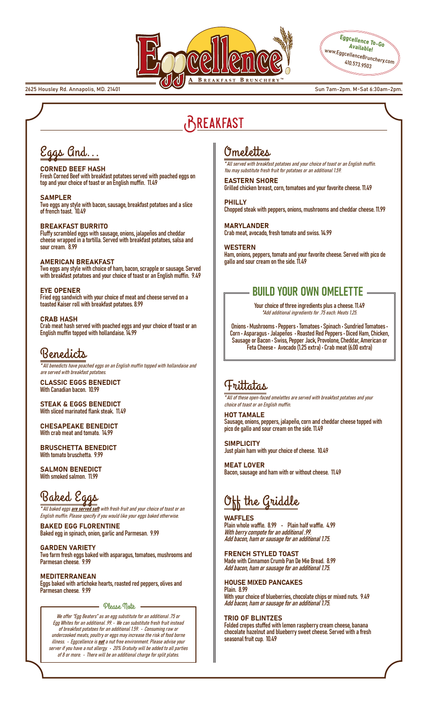



2625 Housley Rd. Annapolis, MD. 21401 Sun 7am-2pm. M-Sat 6:30am-2pm.

# Breakfast

# Eggs And...

### CORNED BEEF HASH

Fresh Corned Beef with breakfast potatoes served with poached eggs on top and your choice of toast or an English muffin. 11.49

SAMPLER Two eggs any style with bacon, sausage, breakfast potatoes and a slice of french toast. 10.49

### BREAKFAST BURRITO

Fluffy scrambled eggs with sausage, onions, jalapeños and cheddar cheese wrapped in a tortilla. Served with breakfast potatoes, salsa and sour cream. 8.99

#### AMERICAN BREAKFAST

Two eggs any style with choice of ham, bacon, scrapple or sausage. Served with breakfast potatoes and your choice of toast or an English muffin. 9.49

#### EYE OPENER

Fried egg sandwich with your choice of meat and cheese served on a toasted Kaiser roll with breakfast potatoes. 8.99

## CRAB HASH

Crab meat hash served with poached eggs and your choice of toast or an English muffin topped with hollandaise. 14.99

## Benedicts

\* All benedicts have poached eggs on an English muffin topped with hollandaise and are served with breakfast potatoes.

CLASSIC EGGS BENEDICT With Canadian bacon. 10.99

STEAK & EGGS BENEDICT With sliced marinated flank steak. 11.49

CHESAPEAKE BENEDICT With crab meat and tomato. 14.99

BRUSCHETTA BENEDICT With tomato bruschetta. 9.99

SALMON BENEDICT With smoked salmon. 11.99

# Baked Eggs

\*All baked eggs are served soft with fresh fruit and your choice of toast or an English muffin. Please specify if you would like your eggs baked otherwise.

BAKED EGG FLORENTINE Baked egg in spinach, onion, garlic and Parmesan. 9.99

GARDEN VARIETY Two farm fresh eggs baked with asparagus, tomatoes, mushrooms and Parmesan cheese. 9.99

MEDITERRANEAN Eggs baked with artichoke hearts, roasted red peppers, olives and Parmesan cheese. 9.99

Please Note

We offer "Egg Beaters" as an egg substitute for an additional .75 or Egg Whites for an additional .99. • We can substitute fresh fruit instead of breakfast potatoes for an additional 1.59. • Consuming raw or undercooked meats, poultry or eggs may increase the risk of food borne illness.  $\cdot$  Eggcellence is **not** a nut free environment. Please advise your server if you have a nut allergy. • 20% Gratuity will be added to all parties of  $8$  or more.  $\cdot$  There will be an additional charge for split plates.

# Omelettes

\* All served with breakfast potatoes and your choice of toast or an English muffin. You may substitute fresh fruit for potatoes or an additional 1.59.

EASTERN SHORE Grilled chicken breast, corn, tomatoes and your favorite cheese. 11.49

PHILLY Chopped steak with peppers, onions, mushrooms and cheddar cheese. 11.99

MARYLANDER Crab meat, avocado, fresh tomato and swiss. 14.99

WESTERN Ham, onions, peppers, tomato and your favorite cheese. Served with pico de gallo and sour cream on the side. 11.49

## BUILD YOUR OWN OMELETTE

Your choice of three ingredients plus a cheese. 11.49 \*Add additional ingredients for .75 each. Meats 1.25.

Onions • Mushrooms • Peppers • Tomatoes • Spinach • Sundried Tomatoes • Corn • Asparagus • Jalapeños • Roasted Red Peppers • Diced Ham, Chicken, Sausage or Bacon • Swiss, Pepper Jack, Provolone, Cheddar, American or Feta Cheese • Avocado (1.25 extra) • Crab meat (6.00 extra)

## Frittatas

\* All of these open-faced omelettes are served with breakfast potatoes and your choice of toast or an English muffin.

HOT TAMALE Sausage, onions, peppers, jalapeño, corn and cheddar cheese topped with pico de gallo and sour cream on the side. 11.49

**SIMPLICITY** Just plain ham with your choice of cheese. 10.49

MEAT LOVER Bacon, sausage and ham with or without cheese. 11.49

# Off the Griddle

## WAFFLES

Plain whole waffle. 8.99 • Plain half waffle. 4.99 With berry compote for an additional .99. Add bacon, ham or sausage for an additional 1.75.

## FRENCH STYLED TOAST

Made with Cinnamon Crumb Pan De Mie Bread. 8.99 Add bacon, ham or sausage for an additional 1.75.

## HOUSE MIXED PANCAKES

Plain. 8.99 With your choice of blueberries, chocolate chips or mixed nuts. 9.49 Add bacon, ham or sausage for an additional 1.75.

## TRIO OF BLINTZES

Folded crepes stuffed with lemon raspberry cream cheese, banana chocolate hazelnut and blueberry sweet cheese. Served with a fresh seasonal fruit cup. 10.49